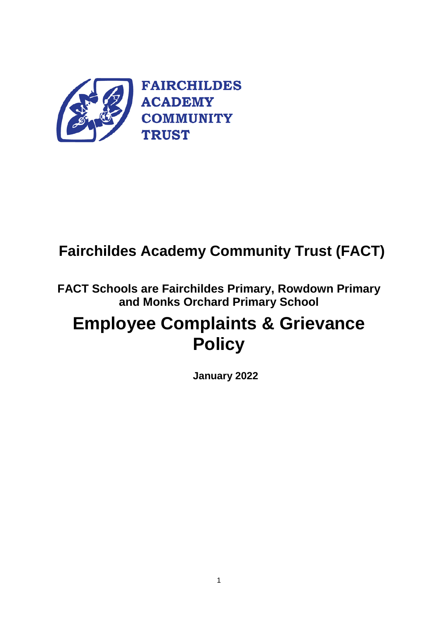

# **Fairchildes Academy Community Trust (FACT)**

**FACT Schools are Fairchildes Primary, Rowdown Primary and Monks Orchard Primary School**

# **Employee Complaints & Grievance Policy**

**January 2022**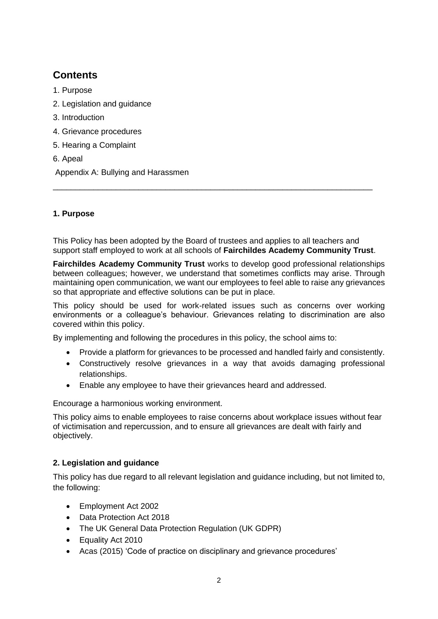# **Contents**

- 1. Purpose
- 2. Legislation and guidance
- 3. Introduction
- 4. Grievance procedures
- 5. Hearing a Complaint
- 6. Apeal

Appendix A: Bullying and Harassmen

# **1. Purpose**

This Policy has been adopted by the Board of trustees and applies to all teachers and support staff employed to work at all schools of **Fairchildes Academy Community Trust**.

\_\_\_\_\_\_\_\_\_\_\_\_\_\_\_\_\_\_\_\_\_\_\_\_\_\_\_\_\_\_\_\_\_\_\_\_\_\_\_\_\_\_\_\_\_\_\_\_\_\_\_\_\_\_\_\_\_\_\_\_\_\_\_\_\_\_\_\_\_\_\_

**Fairchildes Academy Community Trust** works to develop good professional relationships between colleagues; however, we understand that sometimes conflicts may arise. Through maintaining open communication, we want our employees to feel able to raise any grievances so that appropriate and effective solutions can be put in place.

This policy should be used for work-related issues such as concerns over working environments or a colleague's behaviour. Grievances relating to discrimination are also covered within this policy.

By implementing and following the procedures in this policy, the school aims to:

- Provide a platform for grievances to be processed and handled fairly and consistently.
- Constructively resolve grievances in a way that avoids damaging professional relationships.
- Enable any employee to have their grievances heard and addressed.

Encourage a harmonious working environment.

This policy aims to enable employees to raise concerns about workplace issues without fear of victimisation and repercussion, and to ensure all grievances are dealt with fairly and objectively.

# **2. Legislation and guidance**

This policy has due regard to all relevant legislation and guidance including, but not limited to, the following:

- Employment Act 2002
- Data Protection Act 2018
- The UK General Data Protection Regulation (UK GDPR)
- Equality Act 2010
- Acas (2015) 'Code of practice on disciplinary and grievance procedures'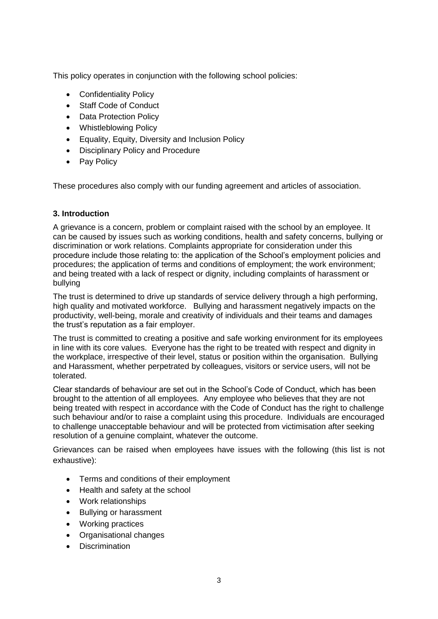This policy operates in conjunction with the following school policies:

- Confidentiality Policy
- Staff Code of Conduct
- Data Protection Policy
- Whistleblowing Policy
- Equality, Equity, Diversity and Inclusion Policy
- Disciplinary Policy and Procedure
- Pav Policy

These procedures also comply with our funding agreement and articles of association.

# **3. Introduction**

A grievance is a concern, problem or complaint raised with the school by an employee. It can be caused by issues such as working conditions, health and safety concerns, bullying or discrimination or work relations. Complaints appropriate for consideration under this procedure include those relating to: the application of the School's employment policies and procedures; the application of terms and conditions of employment; the work environment; and being treated with a lack of respect or dignity, including complaints of harassment or bullying

The trust is determined to drive up standards of service delivery through a high performing, high quality and motivated workforce. Bullying and harassment negatively impacts on the productivity, well-being, morale and creativity of individuals and their teams and damages the trust's reputation as a fair employer.

The trust is committed to creating a positive and safe working environment for its employees in line with its core values. Everyone has the right to be treated with respect and dignity in the workplace, irrespective of their level, status or position within the organisation. Bullying and Harassment, whether perpetrated by colleagues, visitors or service users, will not be tolerated.

Clear standards of behaviour are set out in the School's Code of Conduct, which has been brought to the attention of all employees. Any employee who believes that they are not being treated with respect in accordance with the Code of Conduct has the right to challenge such behaviour and/or to raise a complaint using this procedure. Individuals are encouraged to challenge unacceptable behaviour and will be protected from victimisation after seeking resolution of a genuine complaint, whatever the outcome.

Grievances can be raised when employees have issues with the following (this list is not exhaustive):

- Terms and conditions of their employment
- Health and safety at the school
- Work relationships
- Bullying or harassment
- Working practices
- Organisational changes
- **Discrimination**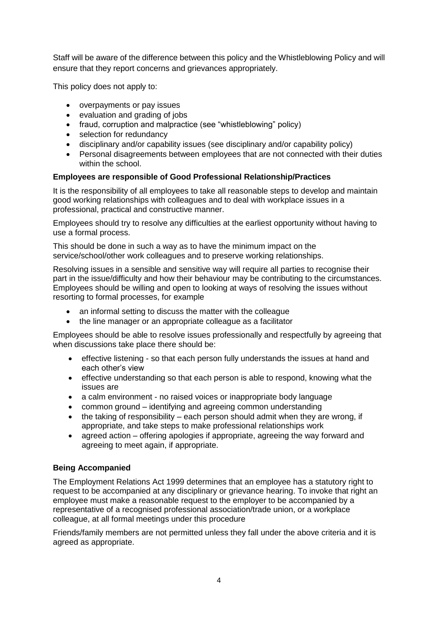Staff will be aware of the difference between this policy and the Whistleblowing Policy and will ensure that they report concerns and grievances appropriately.

This policy does not apply to:

- overpayments or pay issues
- evaluation and grading of jobs
- fraud, corruption and malpractice (see "whistleblowing" policy)
- selection for redundancy
- disciplinary and/or capability issues (see disciplinary and/or capability policy)
- Personal disagreements between employees that are not connected with their duties within the school.

# **Employees are responsible of Good Professional Relationship/Practices**

It is the responsibility of all employees to take all reasonable steps to develop and maintain good working relationships with colleagues and to deal with workplace issues in a professional, practical and constructive manner.

Employees should try to resolve any difficulties at the earliest opportunity without having to use a formal process.

This should be done in such a way as to have the minimum impact on the service/school/other work colleagues and to preserve working relationships.

Resolving issues in a sensible and sensitive way will require all parties to recognise their part in the issue/difficulty and how their behaviour may be contributing to the circumstances. Employees should be willing and open to looking at ways of resolving the issues without resorting to formal processes, for example

- an informal setting to discuss the matter with the colleague
- the line manager or an appropriate colleague as a facilitator

Employees should be able to resolve issues professionally and respectfully by agreeing that when discussions take place there should be:

- effective listening so that each person fully understands the issues at hand and each other's view
- effective understanding so that each person is able to respond, knowing what the issues are
- a calm environment no raised voices or inappropriate body language
- common ground identifying and agreeing common understanding
- $\bullet$  the taking of responsibility each person should admit when they are wrong, if appropriate, and take steps to make professional relationships work
- agreed action offering apologies if appropriate, agreeing the way forward and agreeing to meet again, if appropriate.

#### **Being Accompanied**

The Employment Relations Act 1999 determines that an employee has a statutory right to request to be accompanied at any disciplinary or grievance hearing. To invoke that right an employee must make a reasonable request to the employer to be accompanied by a representative of a recognised professional association/trade union, or a workplace colleague, at all formal meetings under this procedure

Friends/family members are not permitted unless they fall under the above criteria and it is agreed as appropriate.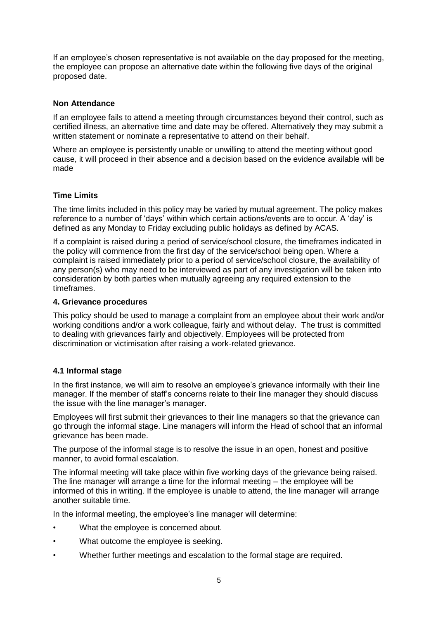If an employee's chosen representative is not available on the day proposed for the meeting, the employee can propose an alternative date within the following five days of the original proposed date.

#### **Non Attendance**

If an employee fails to attend a meeting through circumstances beyond their control, such as certified illness, an alternative time and date may be offered. Alternatively they may submit a written statement or nominate a representative to attend on their behalf.

Where an employee is persistently unable or unwilling to attend the meeting without good cause, it will proceed in their absence and a decision based on the evidence available will be made

#### **Time Limits**

The time limits included in this policy may be varied by mutual agreement. The policy makes reference to a number of 'days' within which certain actions/events are to occur. A 'day' is defined as any Monday to Friday excluding public holidays as defined by ACAS.

If a complaint is raised during a period of service/school closure, the timeframes indicated in the policy will commence from the first day of the service/school being open. Where a complaint is raised immediately prior to a period of service/school closure, the availability of any person(s) who may need to be interviewed as part of any investigation will be taken into consideration by both parties when mutually agreeing any required extension to the timeframes.

#### **4. Grievance procedures**

This policy should be used to manage a complaint from an employee about their work and/or working conditions and/or a work colleague, fairly and without delay. The trust is committed to dealing with grievances fairly and objectively. Employees will be protected from discrimination or victimisation after raising a work-related grievance.

#### **4.1 Informal stage**

In the first instance, we will aim to resolve an employee's grievance informally with their line manager. If the member of staff's concerns relate to their line manager they should discuss the issue with the line manager's manager.

Employees will first submit their grievances to their line managers so that the grievance can go through the informal stage. Line managers will inform the Head of school that an informal grievance has been made.

The purpose of the informal stage is to resolve the issue in an open, honest and positive manner, to avoid formal escalation.

The informal meeting will take place within five working days of the grievance being raised. The line manager will arrange a time for the informal meeting – the employee will be informed of this in writing. If the employee is unable to attend, the line manager will arrange another suitable time.

In the informal meeting, the employee's line manager will determine:

- What the employee is concerned about.
- What outcome the employee is seeking.
- Whether further meetings and escalation to the formal stage are required.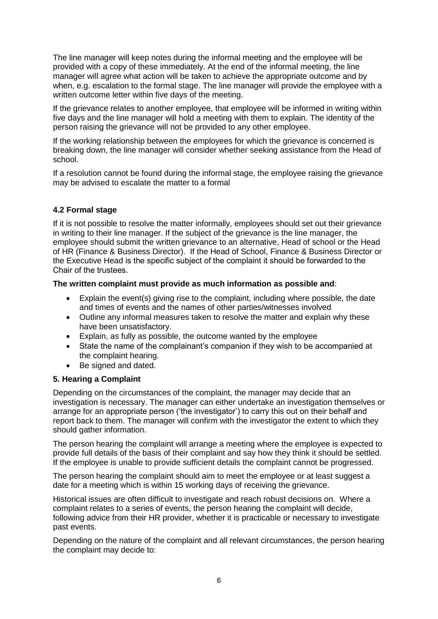The line manager will keep notes during the informal meeting and the employee will be provided with a copy of these immediately. At the end of the informal meeting, the line manager will agree what action will be taken to achieve the appropriate outcome and by when, e.g. escalation to the formal stage. The line manager will provide the employee with a written outcome letter within five days of the meeting.

If the grievance relates to another employee, that employee will be informed in writing within five days and the line manager will hold a meeting with them to explain. The identity of the person raising the grievance will not be provided to any other employee.

If the working relationship between the employees for which the grievance is concerned is breaking down, the line manager will consider whether seeking assistance from the Head of school.

If a resolution cannot be found during the informal stage, the employee raising the grievance may be advised to escalate the matter to a formal

# **4.2 Formal stage**

If it is not possible to resolve the matter informally, employees should set out their grievance in writing to their line manager. If the subject of the grievance is the line manager, the employee should submit the written grievance to an alternative, Head of school or the Head of HR (Finance & Business Director). If the Head of School, Finance & Business Director or the Executive Head is the specific subject of the complaint it should be forwarded to the Chair of the trustees.

#### **The written complaint must provide as much information as possible and**:

- Explain the event(s) giving rise to the complaint, including where possible, the date and times of events and the names of other parties/witnesses involved
- Outline any informal measures taken to resolve the matter and explain why these have been unsatisfactory.
- Explain, as fully as possible, the outcome wanted by the employee
- State the name of the complainant's companion if they wish to be accompanied at the complaint hearing.
- Be signed and dated.

#### **5. Hearing a Complaint**

Depending on the circumstances of the complaint, the manager may decide that an investigation is necessary. The manager can either undertake an investigation themselves or arrange for an appropriate person ('the investigator') to carry this out on their behalf and report back to them. The manager will confirm with the investigator the extent to which they should gather information.

The person hearing the complaint will arrange a meeting where the employee is expected to provide full details of the basis of their complaint and say how they think it should be settled. If the employee is unable to provide sufficient details the complaint cannot be progressed.

The person hearing the complaint should aim to meet the employee or at least suggest a date for a meeting which is within 15 working days of receiving the grievance.

Historical issues are often difficult to investigate and reach robust decisions on. Where a complaint relates to a series of events, the person hearing the complaint will decide, following advice from their HR provider, whether it is practicable or necessary to investigate past events.

Depending on the nature of the complaint and all relevant circumstances, the person hearing the complaint may decide to: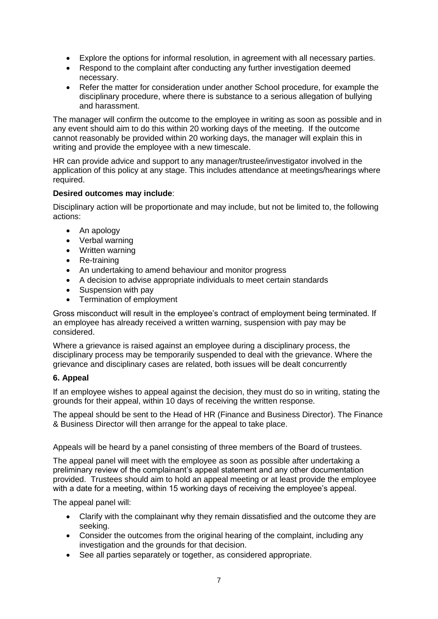- Explore the options for informal resolution, in agreement with all necessary parties.
- Respond to the complaint after conducting any further investigation deemed necessary.
- Refer the matter for consideration under another School procedure, for example the disciplinary procedure, where there is substance to a serious allegation of bullying and harassment.

The manager will confirm the outcome to the employee in writing as soon as possible and in any event should aim to do this within 20 working days of the meeting. If the outcome cannot reasonably be provided within 20 working days, the manager will explain this in writing and provide the employee with a new timescale.

HR can provide advice and support to any manager/trustee/investigator involved in the application of this policy at any stage. This includes attendance at meetings/hearings where required.

# **Desired outcomes may include**:

Disciplinary action will be proportionate and may include, but not be limited to, the following actions:

- An apology
- Verbal warning
- Written warning
- Re-training
- An undertaking to amend behaviour and monitor progress
- A decision to advise appropriate individuals to meet certain standards
- Suspension with pay
- Termination of employment

Gross misconduct will result in the employee's contract of employment being terminated. If an employee has already received a written warning, suspension with pay may be considered.

Where a grievance is raised against an employee during a disciplinary process, the disciplinary process may be temporarily suspended to deal with the grievance. Where the grievance and disciplinary cases are related, both issues will be dealt concurrently

# **6. Appeal**

If an employee wishes to appeal against the decision, they must do so in writing, stating the grounds for their appeal, within 10 days of receiving the written response.

The appeal should be sent to the Head of HR (Finance and Business Director). The Finance & Business Director will then arrange for the appeal to take place.

Appeals will be heard by a panel consisting of three members of the Board of trustees.

The appeal panel will meet with the employee as soon as possible after undertaking a preliminary review of the complainant's appeal statement and any other documentation provided. Trustees should aim to hold an appeal meeting or at least provide the employee with a date for a meeting, within 15 working days of receiving the employee's appeal.

The appeal panel will:

- Clarify with the complainant why they remain dissatisfied and the outcome they are seeking.
- Consider the outcomes from the original hearing of the complaint, including any investigation and the grounds for that decision.
- See all parties separately or together, as considered appropriate.